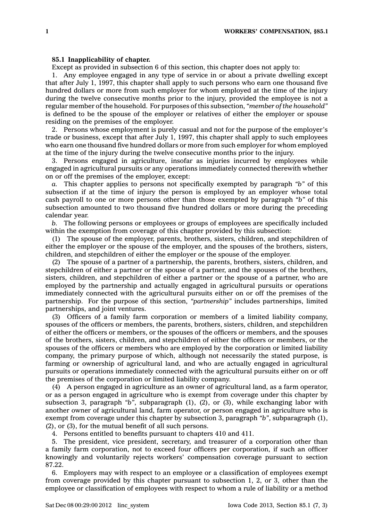## **85.1 Inapplicability of chapter.**

Except as provided in subsection 6 of this section, this chapter does not apply to:

1. Any employee engaged in any type of service in or about <sup>a</sup> private dwelling except that after July 1, 1997, this chapter shall apply to such persons who earn one thousand five hundred dollars or more from such employer for whom employed at the time of the injury during the twelve consecutive months prior to the injury, provided the employee is not <sup>a</sup> regular member of the household. For purposes of this subsection, *"member of the household"* is defined to be the spouse of the employer or relatives of either the employer or spouse residing on the premises of the employer.

2. Persons whose employment is purely casual and not for the purpose of the employer's trade or business, except that after July 1, 1997, this chapter shall apply to such employees who earn one thousand five hundred dollars or more from such employer for whom employed at the time of the injury during the twelve consecutive months prior to the injury.

3. Persons engaged in agriculture, insofar as injuries incurred by employees while engaged in agricultural pursuits or any operations immediately connected therewith whether on or off the premises of the employer, except:

*a.* This chapter applies to persons not specifically exempted by paragraph *"b"* of this subsection if at the time of injury the person is employed by an employer whose total cash payroll to one or more persons other than those exempted by paragraph *"b"* of this subsection amounted to two thousand five hundred dollars or more during the preceding calendar year.

*b.* The following persons or employees or groups of employees are specifically included within the exemption from coverage of this chapter provided by this subsection:

(1) The spouse of the employer, parents, brothers, sisters, children, and stepchildren of either the employer or the spouse of the employer, and the spouses of the brothers, sisters, children, and stepchildren of either the employer or the spouse of the employer.

(2) The spouse of <sup>a</sup> partner of <sup>a</sup> partnership, the parents, brothers, sisters, children, and stepchildren of either <sup>a</sup> partner or the spouse of <sup>a</sup> partner, and the spouses of the brothers, sisters, children, and stepchildren of either <sup>a</sup> partner or the spouse of <sup>a</sup> partner, who are employed by the partnership and actually engaged in agricultural pursuits or operations immediately connected with the agricultural pursuits either on or off the premises of the partnership. For the purpose of this section, *"partnership"* includes partnerships, limited partnerships, and joint ventures.

(3) Officers of <sup>a</sup> family farm corporation or members of <sup>a</sup> limited liability company, spouses of the officers or members, the parents, brothers, sisters, children, and stepchildren of either the officers or members, or the spouses of the officers or members, and the spouses of the brothers, sisters, children, and stepchildren of either the officers or members, or the spouses of the officers or members who are employed by the corporation or limited liability company, the primary purpose of which, although not necessarily the stated purpose, is farming or ownership of agricultural land, and who are actually engaged in agricultural pursuits or operations immediately connected with the agricultural pursuits either on or off the premises of the corporation or limited liability company.

(4) A person engaged in agriculture as an owner of agricultural land, as <sup>a</sup> farm operator, or as <sup>a</sup> person engaged in agriculture who is exempt from coverage under this chapter by subsection 3, paragraph *"b"*, subparagraph (1), (2), or (3), while exchanging labor with another owner of agricultural land, farm operator, or person engaged in agriculture who is exempt from coverage under this chapter by subsection 3, paragraph *"b"*, subparagraph (1), (2), or (3), for the mutual benefit of all such persons.

4. Persons entitled to benefits pursuant to chapters 410 and 411.

5. The president, vice president, secretary, and treasurer of <sup>a</sup> corporation other than <sup>a</sup> family farm corporation, not to exceed four officers per corporation, if such an officer knowingly and voluntarily rejects workers' compensation coverage pursuant to section 87.22.

6. Employers may with respect to an employee or <sup>a</sup> classification of employees exempt from coverage provided by this chapter pursuant to subsection 1, 2, or 3, other than the employee or classification of employees with respect to whom <sup>a</sup> rule of liability or <sup>a</sup> method